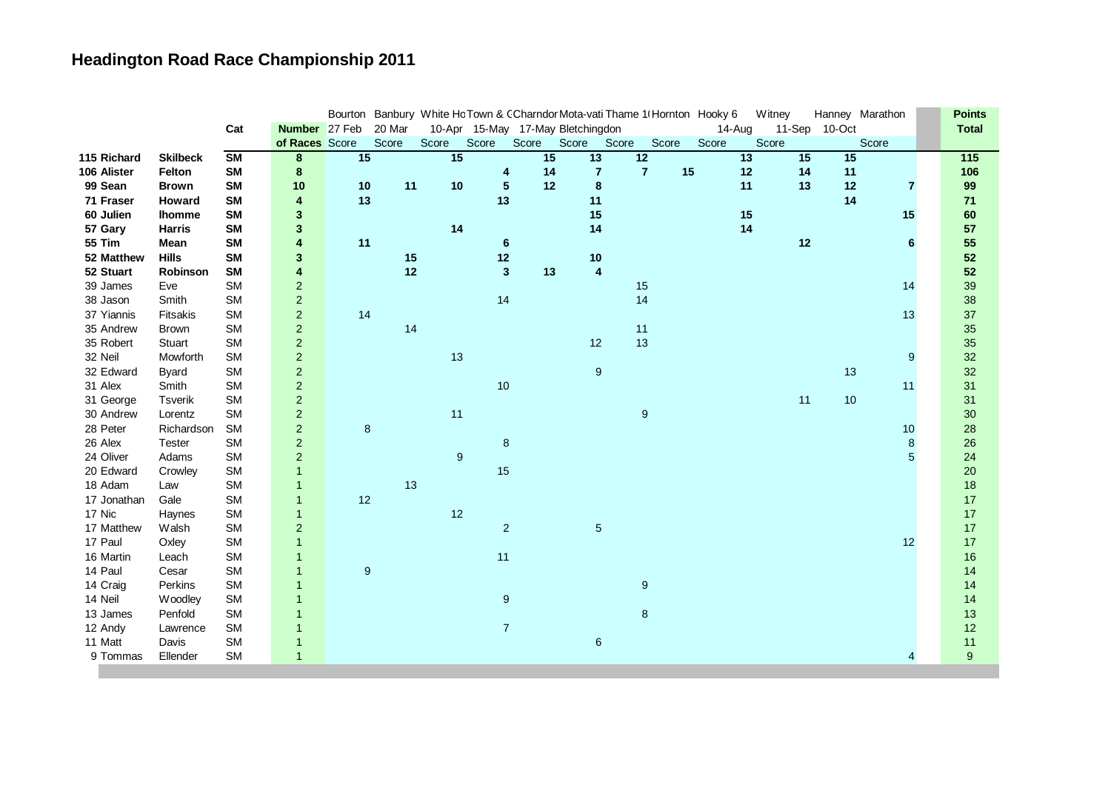| Cat<br>Number 27 Feb<br>20 Mar<br>11-Sep 10-Oct<br>10-Apr 15-May 17-May Bletchingdon<br>14-Aug<br>of Races Score<br>Score<br>Score<br>Score<br>Score<br>Score<br>Score<br>Score<br>Score<br>Score<br>Score<br>15<br>15 | <b>Total</b><br>$\overline{115}$ |
|------------------------------------------------------------------------------------------------------------------------------------------------------------------------------------------------------------------------|----------------------------------|
|                                                                                                                                                                                                                        |                                  |
|                                                                                                                                                                                                                        |                                  |
| $\overline{\text{SM}}$<br>15<br>$\overline{13}$<br>$\overline{12}$<br>13<br>15<br>15<br>115 Richard<br>8<br><b>Skilbeck</b>                                                                                            |                                  |
| $\overline{7}$<br>15<br><b>SM</b><br>14<br>$\overline{7}$<br>106 Alister<br>8<br>12<br>14<br>11<br>Felton<br>4                                                                                                         | 106                              |
| 10<br>12<br>99 Sean<br><b>SM</b><br>10<br>10<br>11<br>$\sqrt{5}$<br>8<br>11<br>13<br>12<br><b>Brown</b><br>$\overline{7}$                                                                                              | 99                               |
| 13<br>13<br>71 Fraser<br>4<br>11<br>14<br>Howard<br><b>SM</b>                                                                                                                                                          | 71                               |
| 15<br>60 Julien<br>$\mathbf{3}$<br>15<br>15<br><b>SM</b><br><b>Ihomme</b>                                                                                                                                              | 60                               |
| 14<br>14<br>14<br>57 Gary<br><b>SM</b><br>$\mathbf{3}$<br><b>Harris</b>                                                                                                                                                | 57                               |
| 4<br>11<br>12<br><b>55 Tim</b><br><b>SM</b><br>6<br>Mean<br>6                                                                                                                                                          | 55                               |
| 12<br>10<br><b>Hills</b><br><b>SM</b><br>$\mathbf{3}$<br>15<br>52 Matthew                                                                                                                                              | 52                               |
| 12<br>$\overline{\mathbf{3}}$<br>$\overline{\mathbf{4}}$<br>52 Stuart<br><b>SM</b><br>4<br>13<br>Robinson                                                                                                              | 52                               |
| <b>SM</b><br>$\boldsymbol{2}$<br>15<br>39 James<br>14<br>Eve                                                                                                                                                           | 39                               |
| 14<br>14<br>$\boldsymbol{2}$<br>38 Jason<br>Smith<br><b>SM</b>                                                                                                                                                         | 38                               |
| $\overline{2}$<br>37 Yiannis<br><b>SM</b><br>14<br>13<br>Fitsakis                                                                                                                                                      | 37                               |
| $\overline{c}$<br>14<br>11<br>35 Andrew<br><b>SM</b><br><b>Brown</b>                                                                                                                                                   | 35                               |
| 13<br>35 Robert<br>$\overline{\mathbf{c}}$<br>12<br><b>SM</b><br><b>Stuart</b>                                                                                                                                         | 35                               |
| $\overline{2}$<br>13<br>9<br>32 Neil<br>Mowforth<br><b>SM</b>                                                                                                                                                          | 32                               |
| $\overline{c}$<br>13<br>32 Edward<br><b>SM</b><br>$\boldsymbol{9}$<br><b>Byard</b>                                                                                                                                     | 32                               |
| $\overline{2}$<br>10<br>31 Alex<br><b>SM</b><br>11<br>Smith                                                                                                                                                            | 31                               |
| $\overline{c}$<br><b>SM</b><br>11<br>10<br>31 George<br><b>Tsverik</b>                                                                                                                                                 | 31                               |
| $\mathbf 2$<br>11<br><b>SM</b><br>9<br>30 Andrew<br>Lorentz                                                                                                                                                            | 30                               |
| $\overline{c}$<br>8<br>28 Peter<br><b>SM</b><br>10<br>Richardson                                                                                                                                                       | 28                               |
| 26 Alex<br>$\overline{c}$<br>8<br>8<br><b>SM</b><br>Tester                                                                                                                                                             | 26                               |
| 5<br>24 Oliver<br>$\overline{c}$<br>$9\,$<br><b>SM</b><br>Adams                                                                                                                                                        | 24                               |
| 15<br>20 Edward<br><b>SM</b><br>Crowley<br>$\mathbf{1}$                                                                                                                                                                | 20                               |
| 18 Adam<br><b>SM</b><br>13<br>Law<br>$\mathbf{1}$                                                                                                                                                                      | 18                               |
| 12<br>17 Jonathan<br>Gale<br><b>SM</b><br>$\mathbf{1}$                                                                                                                                                                 | 17                               |
| 17 Nic<br>12<br><b>SM</b><br>$\mathbf{1}$<br>Haynes                                                                                                                                                                    | 17                               |
| $\overline{2}$<br>$\sqrt{2}$<br>$\sqrt{5}$<br>17 Matthew<br><b>SM</b><br>Walsh                                                                                                                                         | 17                               |
| 17 Paul<br><b>SM</b><br>12<br>$\overline{1}$<br>Oxley                                                                                                                                                                  | 17                               |
| 11<br>16 Martin<br><b>SM</b><br>$\mathbf{1}$<br>Leach                                                                                                                                                                  | 16                               |
| $\boldsymbol{9}$<br>14 Paul<br><b>SM</b><br>$\mathbf{1}$<br>Cesar                                                                                                                                                      | 14                               |
| 14 Craig<br><b>SM</b><br>9<br>Perkins<br>$\mathbf{1}$                                                                                                                                                                  | 14                               |
| 14 Neil<br>$\overline{9}$<br><b>SM</b><br>Woodley<br>$\mathbf{1}$                                                                                                                                                      | 14                               |
| $\bf8$<br><b>SM</b><br>13 James<br>Penfold<br>$\mathbf{1}$                                                                                                                                                             | 13                               |
| $\overline{7}$<br>12 Andy<br><b>SM</b><br>Lawrence<br>$\mathbf{1}$                                                                                                                                                     | 12                               |
| 11 Matt<br><b>SM</b><br>Davis<br>6<br>$\mathbf 1$                                                                                                                                                                      | 11                               |
| <b>SM</b><br>9 Tommas<br>Ellender<br>$\mathbf{1}$<br>4                                                                                                                                                                 | $\boldsymbol{9}$                 |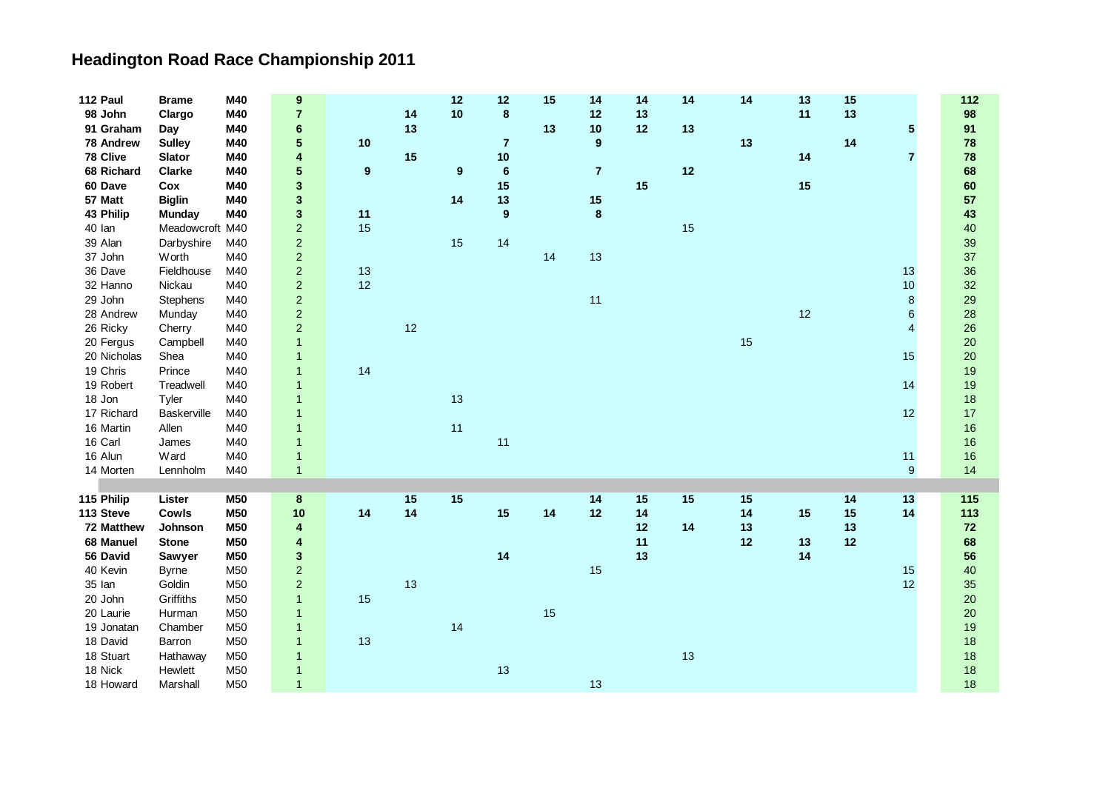| 112 Paul    | <b>Brame</b>    | M40             | $\boldsymbol{9}$        |                  |    | 12 | 12             | 15 | 14               | 14 | 14 | 14 | 13 | 15 |                | 112 |
|-------------|-----------------|-----------------|-------------------------|------------------|----|----|----------------|----|------------------|----|----|----|----|----|----------------|-----|
| 98 John     | Clargo          | M40             | 7                       |                  | 14 | 10 | $\bf 8$        |    | 12               | 13 |    |    | 11 | 13 |                | 98  |
| 91 Graham   | Day             | M40             | 6                       |                  | 13 |    |                | 13 | 10               | 12 | 13 |    |    |    | 5              | 91  |
| 78 Andrew   | <b>Sulley</b>   | M40             | 5                       | $10$             |    |    | $\overline{7}$ |    | $\boldsymbol{9}$ |    |    | 13 |    | 14 |                | 78  |
| 78 Clive    | <b>Slator</b>   | M40             | 4                       |                  | 15 |    | 10             |    |                  |    |    |    | 14 |    | $\overline{7}$ | 78  |
| 68 Richard  | <b>Clarke</b>   | M40             | 5                       | $\boldsymbol{9}$ |    | 9  | $\bf 6$        |    | $\overline{7}$   |    | 12 |    |    |    |                | 68  |
| 60 Dave     | Cox             | M40             | 3                       |                  |    |    | 15             |    |                  | 15 |    |    | 15 |    |                | 60  |
| 57 Matt     | <b>Biglin</b>   | M40             | 3                       |                  |    | 14 | 13             |    | 15               |    |    |    |    |    |                | 57  |
| 43 Philip   | <b>Munday</b>   | M40             | 3                       | 11               |    |    | 9              |    | $\bf8$           |    |    |    |    |    |                | 43  |
| 40 lan      | Meadowcroft M40 |                 | $\overline{a}$          | 15               |    |    |                |    |                  |    | 15 |    |    |    |                | 40  |
| 39 Alan     | Darbyshire      | M40             | $\overline{a}$          |                  |    | 15 | 14             |    |                  |    |    |    |    |    |                | 39  |
| 37 John     | Worth           | M40             | $\overline{\mathbf{c}}$ |                  |    |    |                | 14 | 13               |    |    |    |    |    |                | 37  |
| 36 Dave     | Fieldhouse      | M40             | $\overline{c}$          | 13               |    |    |                |    |                  |    |    |    |    |    | 13             | 36  |
| 32 Hanno    | Nickau          | M40             | $\overline{2}$          | 12               |    |    |                |    |                  |    |    |    |    |    | 10             | 32  |
| 29 John     | <b>Stephens</b> | M40             | $\overline{c}$          |                  |    |    |                |    | 11               |    |    |    |    |    | 8              | 29  |
| 28 Andrew   | Munday          | M40             | $\overline{a}$          |                  |    |    |                |    |                  |    |    |    | 12 |    | 6              | 28  |
| 26 Ricky    | Cherry          | M40             | $\overline{a}$          |                  | 12 |    |                |    |                  |    |    |    |    |    | $\overline{4}$ | 26  |
| 20 Fergus   | Campbell        | M40             | $\mathbf{1}$            |                  |    |    |                |    |                  |    |    | 15 |    |    |                | 20  |
| 20 Nicholas | Shea            | M40             | 1                       |                  |    |    |                |    |                  |    |    |    |    |    | 15             | 20  |
| 19 Chris    | Prince          | M40             | $\mathbf{1}$            | 14               |    |    |                |    |                  |    |    |    |    |    |                | 19  |
| 19 Robert   | Treadwell       | M40             | $\mathbf{1}$            |                  |    |    |                |    |                  |    |    |    |    |    | 14             | 19  |
| 18 Jon      | Tyler           | M40             | $\mathbf 1$             |                  |    | 13 |                |    |                  |    |    |    |    |    |                | 18  |
| 17 Richard  | Baskerville     | M40             | $\mathbf{1}$            |                  |    |    |                |    |                  |    |    |    |    |    | 12             | 17  |
| 16 Martin   | Allen           | M40             | $\overline{1}$          |                  |    | 11 |                |    |                  |    |    |    |    |    |                | 16  |
| 16 Carl     | James           | M40             | $\mathbf{1}$            |                  |    |    | 11             |    |                  |    |    |    |    |    |                | 16  |
| 16 Alun     | Ward            | M40             | $\mathbf{1}$            |                  |    |    |                |    |                  |    |    |    |    |    | 11             | 16  |
| 14 Morten   | Lennholm        | M40             | $\mathbf{1}$            |                  |    |    |                |    |                  |    |    |    |    |    | $9$            | 14  |
|             |                 |                 |                         |                  |    |    |                |    |                  |    |    |    |    |    |                |     |
| 115 Philip  | Lister          | M50             | 8                       |                  | 15 | 15 |                |    | 14               | 15 | 15 | 15 |    | 14 | 13             | 115 |
| 113 Steve   | Cowls           | M50             | 10                      | 14               | 14 |    | 15             | 14 | 12               | 14 |    | 14 | 15 | 15 | 14             | 113 |
| 72 Matthew  | Johnson         | M50             | 4                       |                  |    |    |                |    |                  | 12 | 14 | 13 |    | 13 |                | 72  |
| 68 Manuel   | <b>Stone</b>    | M50             | 4                       |                  |    |    |                |    |                  | 11 |    | 12 | 13 | 12 |                | 68  |
| 56 David    | Sawyer          | M50             | 3                       |                  |    |    | 14             |    |                  | 13 |    |    | 14 |    |                | 56  |
| 40 Kevin    | <b>Byrne</b>    | M50             | $\overline{c}$          |                  |    |    |                |    | 15               |    |    |    |    |    | 15             | 40  |
| 35 Ian      | Goldin          | M50             | $\overline{c}$          |                  | 13 |    |                |    |                  |    |    |    |    |    | 12             | 35  |
| 20 John     | Griffiths       | M50             | $\mathbf{1}$            | 15               |    |    |                |    |                  |    |    |    |    |    |                | 20  |
| 20 Laurie   | Hurman          | M <sub>50</sub> | $\mathbf{1}$            |                  |    |    |                | 15 |                  |    |    |    |    |    |                | 20  |
| 19 Jonatan  | Chamber         | M50             | $\mathbf{1}$            |                  |    | 14 |                |    |                  |    |    |    |    |    |                | 19  |
| 18 David    | Barron          | M50             | $\mathbf{1}$            | 13               |    |    |                |    |                  |    |    |    |    |    |                | 18  |
| 18 Stuart   | Hathaway        | M50             | 1                       |                  |    |    |                |    |                  |    | 13 |    |    |    |                | 18  |
| 18 Nick     | Hewlett         | M <sub>50</sub> | $\mathbf{1}$            |                  |    |    | 13             |    |                  |    |    |    |    |    |                | 18  |
| 18 Howard   | Marshall        | M50             | $\mathbf{1}$            |                  |    |    |                |    | 13               |    |    |    |    |    |                | 18  |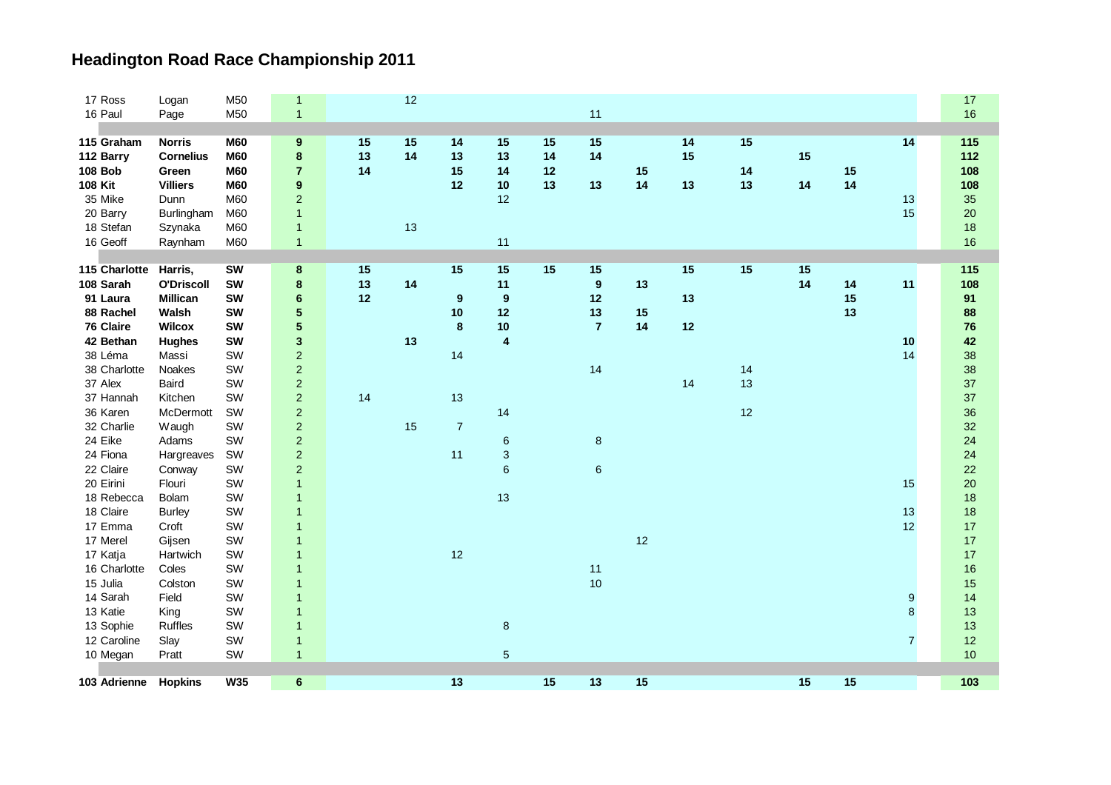| 103 Adrienne   | <b>Hopkins</b>    | <b>W35</b> | $6\phantom{1}$          |    |    | 13             |                           | 15 | 13               | 15 |    |    | 15 | 15 |                  | 103   |
|----------------|-------------------|------------|-------------------------|----|----|----------------|---------------------------|----|------------------|----|----|----|----|----|------------------|-------|
|                |                   |            |                         |    |    |                |                           |    |                  |    |    |    |    |    |                  |       |
| 10 Megan       | Pratt             | SW         | $\mathbf{1}$            |    |    |                | $\sqrt{5}$                |    |                  |    |    |    |    |    |                  | 10    |
| 12 Caroline    | Slay              | SW         | $\mathbf{1}$            |    |    |                |                           |    |                  |    |    |    |    |    | $\overline{7}$   | 12    |
| 13 Sophie      | Ruffles           | SW         | $\overline{1}$          |    |    |                | $\bf 8$                   |    |                  |    |    |    |    |    |                  | 13    |
| 13 Katie       | King              | SW         | $\overline{1}$          |    |    |                |                           |    |                  |    |    |    |    |    | 8                | 13    |
| 14 Sarah       | Field             | SW         | 1                       |    |    |                |                           |    |                  |    |    |    |    |    | $\boldsymbol{9}$ | 14    |
| 15 Julia       | Colston           | SW         | $\mathbf{1}$            |    |    |                |                           |    | 10               |    |    |    |    |    |                  | 15    |
| 16 Charlotte   | Coles             | SW         | $\overline{1}$          |    |    |                |                           |    | 11               |    |    |    |    |    |                  | 16    |
| 17 Katja       | Hartwich          | SW         | $\overline{1}$          |    |    | 12             |                           |    |                  |    |    |    |    |    |                  | 17    |
| 17 Merel       | Gijsen            | SW         | $\overline{1}$          |    |    |                |                           |    |                  | 12 |    |    |    |    |                  | 17    |
| 17 Emma        | Croft             | SW         | $\mathbf{1}$            |    |    |                |                           |    |                  |    |    |    |    |    | 12               | 17    |
| 18 Claire      | <b>Burley</b>     | SW         | $\overline{1}$          |    |    |                |                           |    |                  |    |    |    |    |    | 13               | 18    |
| 18 Rebecca     | Bolam             | SW         | $\mathbf{1}$            |    |    |                | 13                        |    |                  |    |    |    |    |    |                  | 18    |
| 20 Eirini      | Flouri            | SW         | $\mathbf{1}$            |    |    |                |                           |    |                  |    |    |    |    |    | 15               | 20    |
| 22 Claire      | Conway            | SW         | $\overline{c}$          |    |    |                | 6                         |    | $\,6\,$          |    |    |    |    |    |                  | 22    |
| 24 Fiona       | Hargreaves        | SW         | $\overline{c}$          |    |    | 11             | $\ensuremath{\mathsf{3}}$ |    |                  |    |    |    |    |    |                  | 24    |
| 24 Eike        | Adams             | SW         | $\overline{c}$          |    |    |                | $\,6$                     |    | $\bf 8$          |    |    |    |    |    |                  | 24    |
| 32 Charlie     | Waugh             | SW         | $\overline{2}$          |    | 15 | $\overline{7}$ |                           |    |                  |    |    |    |    |    |                  | 32    |
| 36 Karen       | McDermott         | SW         | $\overline{c}$          |    |    |                | 14                        |    |                  |    |    | 12 |    |    |                  | 36    |
| 37 Hannah      | Kitchen           | SW         | $\overline{c}$          | 14 |    | 13             |                           |    |                  |    |    |    |    |    |                  | 37    |
| 37 Alex        | Baird             | SW         | $\overline{c}$          |    |    |                |                           |    |                  |    | 14 | 13 |    |    |                  | 37    |
| 38 Charlotte   | Noakes            | SW         | $\overline{c}$          |    |    |                |                           |    | 14               |    |    | 14 |    |    |                  | 38    |
| 38 Léma        | Massi             | SW         | $\overline{c}$          |    |    | 14             |                           |    |                  |    |    |    |    |    | 14               | 38    |
| 42 Bethan      | <b>Hughes</b>     | <b>SW</b>  | $\mathbf{3}$            |    | 13 |                | $\overline{4}$            |    |                  |    |    |    |    |    | 10               | 42    |
| 76 Claire      | <b>Wilcox</b>     | <b>SW</b>  | 5                       |    |    | $\bf 8$        | $10$                      |    | $\overline{7}$   | 14 | 12 |    |    |    |                  | 76    |
| 88 Rachel      | Walsh             | SW         | $\overline{\mathbf{5}}$ |    |    | 10             | 12                        |    | 13               | 15 |    |    |    | 13 |                  | 88    |
| 91 Laura       | <b>Millican</b>   | <b>SW</b>  | $6\phantom{.}$          | 12 |    | 9              | 9                         |    | 12               |    | 13 |    |    | 15 |                  | 91    |
| 108 Sarah      | <b>O'Driscoll</b> | <b>SW</b>  | 8                       | 13 | 14 |                | 11                        |    | $\boldsymbol{9}$ | 13 |    |    | 14 | 14 | 11               | 108   |
| 115 Charlotte  | Harris,           | <b>SW</b>  | $\bf 8$                 | 15 |    | 15             | 15                        | 15 | 15               |    | 15 | 15 | 15 |    |                  | 115   |
|                |                   |            |                         |    |    |                |                           |    |                  |    |    |    |    |    |                  |       |
| 16 Geoff       | Raynham           | M60        | $\mathbf{1}$            |    |    |                | 11                        |    |                  |    |    |    |    |    |                  | 16    |
| 18 Stefan      | Szynaka           | M60        | $\mathbf{1}$            |    | 13 |                |                           |    |                  |    |    |    |    |    |                  | 18    |
| 20 Barry       | Burlingham        | M60        | $\overline{1}$          |    |    |                |                           |    |                  |    |    |    |    |    | 15               | 20    |
| 35 Mike        | Dunn              | M60        | $\overline{2}$          |    |    |                | 12                        |    |                  |    |    |    |    |    | 13               | 35    |
| 108 Kit        | <b>Villiers</b>   | <b>M60</b> | 9                       |    |    | 12             | 10                        | 13 | 13               | 14 | 13 | 13 | 14 | 14 |                  | 108   |
| <b>108 Bob</b> | Green             | <b>M60</b> | $\overline{7}$          | 14 |    | 15             | 14                        | 12 |                  | 15 |    | 14 |    | 15 |                  | 108   |
| 112 Barry      | <b>Cornelius</b>  | <b>M60</b> | 8                       | 13 | 14 | 13             | 13                        | 14 | 14               |    | 15 |    | 15 |    |                  | $112$ |
| 115 Graham     | <b>Norris</b>     | <b>M60</b> | $\boldsymbol{9}$        | 15 | 15 | 14             | 15                        | 15 | 15               |    | 14 | 15 |    |    | 14               | 115   |
|                |                   |            |                         |    |    |                |                           |    |                  |    |    |    |    |    |                  |       |
| 16 Paul        | Page              | M50        | $\overline{1}$          |    |    |                |                           |    | 11               |    |    |    |    |    |                  | 16    |
| 17 Ross        | Logan             | M50        | 1                       |    | 12 |                |                           |    |                  |    |    |    |    |    |                  | 17    |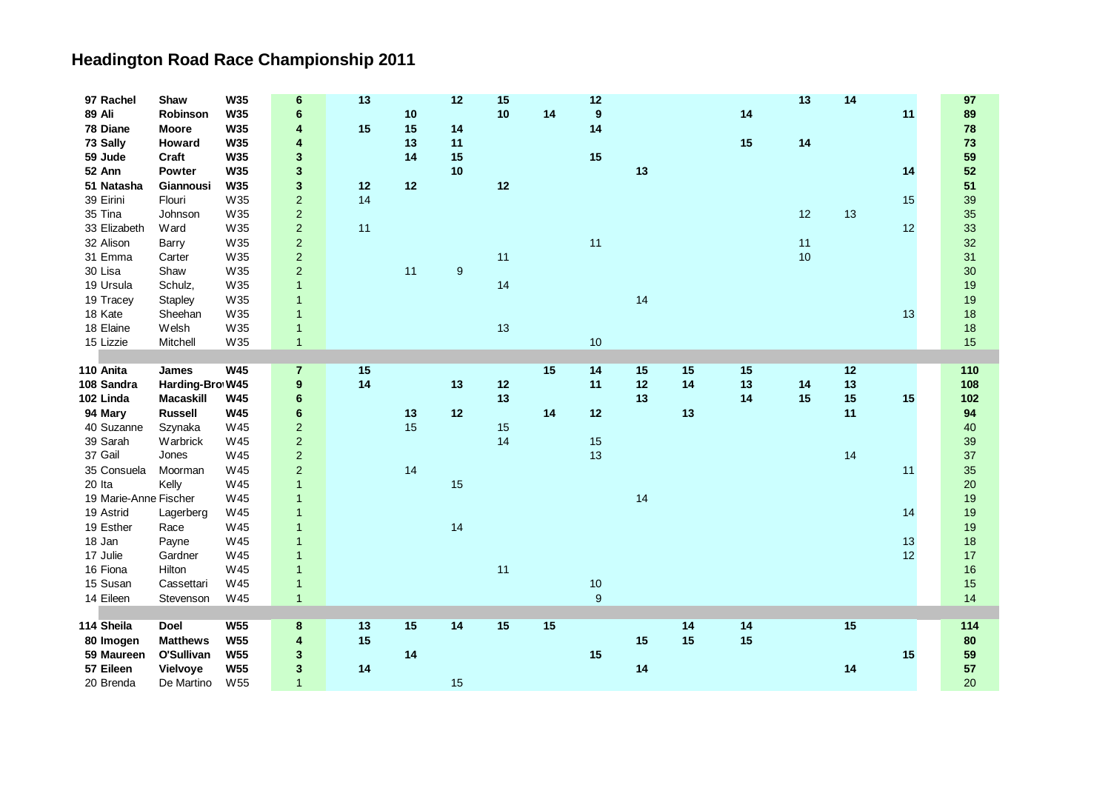| 97 Rachel             | Shaw             | <b>W35</b>      | 6                | 13 |    | 12 | 15 |    | 12               |      |    |    | 13 | 14 |    | 97  |
|-----------------------|------------------|-----------------|------------------|----|----|----|----|----|------------------|------|----|----|----|----|----|-----|
| <b>89 Ali</b>         | Robinson         | <b>W35</b>      | 6                |    | 10 |    | 10 | 14 | 9                |      |    | 14 |    |    | 11 | 89  |
| 78 Diane              | <b>Moore</b>     | <b>W35</b>      | 4                | 15 | 15 | 14 |    |    | 14               |      |    |    |    |    |    | 78  |
| 73 Sally              | Howard           | <b>W35</b>      | 4                |    | 13 | 11 |    |    |                  |      |    | 15 | 14 |    |    | 73  |
| 59 Jude               | Craft            | <b>W35</b>      | 3                |    | 14 | 15 |    |    | 15               |      |    |    |    |    |    | 59  |
| 52 Ann                | Powter           | <b>W35</b>      | 3                |    |    | 10 |    |    |                  | 13   |    |    |    |    | 14 | 52  |
| 51 Natasha            | Giannousi        | W35             | $\mathbf{3}$     | 12 | 12 |    | 12 |    |                  |      |    |    |    |    |    | 51  |
| 39 Eirini             | Flouri           | W35             | $\overline{2}$   | 14 |    |    |    |    |                  |      |    |    |    |    | 15 | 39  |
| 35 Tina               | Johnson          | W35             | $\mathbf 2$      |    |    |    |    |    |                  |      |    |    | 12 | 13 |    | 35  |
| 33 Elizabeth          | Ward             | W35             | $\overline{c}$   | 11 |    |    |    |    |                  |      |    |    |    |    | 12 | 33  |
| 32 Alison             | Barry            | W35             | $\boldsymbol{2}$ |    |    |    |    |    | 11               |      |    |    | 11 |    |    | 32  |
| 31 Emma               | Carter           | W35             | $\boldsymbol{2}$ |    |    |    | 11 |    |                  |      |    |    | 10 |    |    | 31  |
| 30 Lisa               | Shaw             | W35             | $\overline{c}$   |    | 11 | 9  |    |    |                  |      |    |    |    |    |    | 30  |
| 19 Ursula             | Schulz,          | W35             | $\mathbf{1}$     |    |    |    | 14 |    |                  |      |    |    |    |    |    | 19  |
| 19 Tracey             | Stapley          | W35             | $\mathbf{1}$     |    |    |    |    |    |                  | 14   |    |    |    |    |    | 19  |
| 18 Kate               | Sheehan          | W35             | $\mathbf{1}$     |    |    |    |    |    |                  |      |    |    |    |    | 13 | 18  |
| 18 Elaine             | Welsh            | W35             | $\mathbf{1}$     |    |    |    | 13 |    |                  |      |    |    |    |    |    | 18  |
| 15 Lizzie             | Mitchell         | W35             | $\mathbf{1}$     |    |    |    |    |    | 10               |      |    |    |    |    |    | 15  |
|                       |                  |                 |                  |    |    |    |    |    |                  |      |    |    |    |    |    |     |
| 110 Anita             | James            | <b>W45</b>      | $\overline{7}$   | 15 |    |    |    | 15 | 14               | 15   | 15 | 15 |    | 12 |    | 110 |
| 108 Sandra            | Harding-Bro W45  |                 | 9                | 14 |    | 13 | 12 |    | 11               | $12$ | 14 | 13 | 14 | 13 |    | 108 |
| 102 Linda             | <b>Macaskill</b> | <b>W45</b>      | 6                |    |    |    | 13 |    |                  | 13   |    | 14 | 15 | 15 | 15 | 102 |
| 94 Mary               | <b>Russell</b>   | <b>W45</b>      | $6\phantom{1}6$  |    | 13 | 12 |    | 14 | 12               |      | 13 |    |    | 11 |    | 94  |
| 40 Suzanne            | Szynaka          | W45             | $\mathbf 2$      |    | 15 |    | 15 |    |                  |      |    |    |    |    |    | 40  |
| 39 Sarah              | Warbrick         | W45             | $\mathbf 2$      |    |    |    | 14 |    | 15               |      |    |    |    |    |    | 39  |
| 37 Gail               | Jones            | W45             | $\boldsymbol{2}$ |    |    |    |    |    | 13               |      |    |    |    | 14 |    | 37  |
| 35 Consuela           | Moorman          | W45             | $\boldsymbol{2}$ |    | 14 |    |    |    |                  |      |    |    |    |    | 11 | 35  |
| 20 Ita                | Kelly            | W45             | $\mathbf{1}$     |    |    | 15 |    |    |                  |      |    |    |    |    |    | 20  |
| 19 Marie-Anne Fischer |                  | W45             | $\overline{1}$   |    |    |    |    |    |                  | 14   |    |    |    |    |    | 19  |
| 19 Astrid             | Lagerberg        | W45             | $\mathbf{1}$     |    |    |    |    |    |                  |      |    |    |    |    | 14 | 19  |
| 19 Esther             | Race             | W45             | $\mathbf{1}$     |    |    | 14 |    |    |                  |      |    |    |    |    |    | 19  |
| 18 Jan                | Payne            | W45             | $\overline{1}$   |    |    |    |    |    |                  |      |    |    |    |    | 13 | 18  |
| 17 Julie              | Gardner          | W45             | $\overline{1}$   |    |    |    |    |    |                  |      |    |    |    |    | 12 | 17  |
| 16 Fiona              | Hilton           | W45             | $\overline{1}$   |    |    |    | 11 |    |                  |      |    |    |    |    |    | 16  |
| 15 Susan              | Cassettari       | W45             | $\mathbf{1}$     |    |    |    |    |    | 10               |      |    |    |    |    |    | 15  |
| 14 Eileen             | Stevenson        | W45             | $\mathbf{1}$     |    |    |    |    |    | $\boldsymbol{9}$ |      |    |    |    |    |    | 14  |
|                       |                  |                 |                  |    |    |    |    |    |                  |      |    |    |    |    |    |     |
| 114 Sheila            | <b>Doel</b>      | <b>W55</b>      | 8                | 13 | 15 | 14 | 15 | 15 |                  |      | 14 | 14 |    | 15 |    | 114 |
| 80 Imogen             | <b>Matthews</b>  | <b>W55</b>      | 4                | 15 |    |    |    |    |                  | 15   | 15 | 15 |    |    |    | 80  |
| 59 Maureen            | O'Sullivan       | <b>W55</b>      | 3                |    | 14 |    |    |    | 15               |      |    |    |    |    | 15 | 59  |
| 57 Eileen             | Vielvoye         | <b>W55</b>      | 3                | 14 |    |    |    |    |                  | 14   |    |    |    | 14 |    | 57  |
| 20 Brenda             | De Martino       | W <sub>55</sub> | $\mathbf{1}$     |    |    | 15 |    |    |                  |      |    |    |    |    |    | 20  |